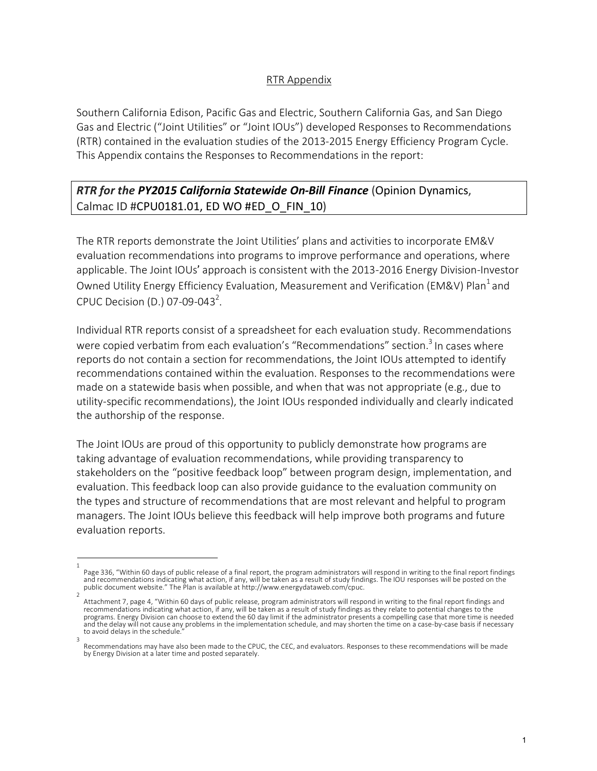#### RTR Appendix

Southern California Edison, Pacific Gas and Electric, Southern California Gas, and San Diego Gas and Electric ("Joint Utilities" or "Joint IOUs") developed Responses to Recommendations (RTR) contained in the evaluation studies of the 2013-2015 Energy Efficiency Program Cycle. This Appendix contains the Responses to Recommendations in the report:

# *RTR for the PY2015 California Statewide On-Bill Finance* (Opinion Dynamics, Calmac ID #CPU0181.01, ED WO #ED\_O\_FIN\_10)

The RTR reports demonstrate the Joint Utilities' plans and activities to incorporate EM&V evaluation recommendations into programs to improve performance and operations, where applicable. The Joint IOUs' approach is consistent with the 2013-2016 Energy Division-Investor Owned Utility Energy Efficiency Evaluation, Measurement and Verification (EM&V) Plan<sup>1</sup> and CPUC Decision (D.) 07-09-043<sup>2</sup>.

Individual RTR reports consist of a spreadsheet for each evaluation study. Recommendations were copied verbatim from each evaluation's "Recommendations" section.<sup>3</sup> In cases where reports do not contain a section for recommendations, the Joint IOUs attempted to identify recommendations contained within the evaluation. Responses to the recommendations were made on a statewide basis when possible, and when that was not appropriate (e.g., due to utility-specific recommendations), the Joint IOUs responded individually and clearly indicated the authorship of the response.

The Joint IOUs are proud of this opportunity to publicly demonstrate how programs are taking advantage of evaluation recommendations, while providing transparency to stakeholders on the "positive feedback loop" between program design, implementation, and evaluation. This feedback loop can also provide guidance to the evaluation community on the types and structure of recommendations that are most relevant and helpful to program managers. The Joint IOUs believe this feedback will help improve both programs and future evaluation reports.

<sup>1</sup> Page 336, "Within 60 days of public release of a final report, the program administrators will respond in writing to the final report findings<br>and recommendations indicating what action, if any, will be taken as a result o public document website." The Plan is available at http://www.energydataweb.com/cpuc.

<sup>2</sup> Attachment 7, page 4, "Within 60 days of public release, program administrators will respond in writing to the final report findings and recommendations indicating what action, if any, will be taken as a result of study findings as they relate to potential changes to the programs. Energy Division can choose to extend the 60 day limit if the administrator presents a compelling case that more time is needed and the delay will not cause any problems in the implementation schedule, and may shorten the time on a case-by-case basis if necessary to avoid delays in the schedule. 3

Recommendations may have also been made to the CPUC, the CEC, and evaluators. Responses to these recommendations will be made by Energy Division at a later time and posted separately.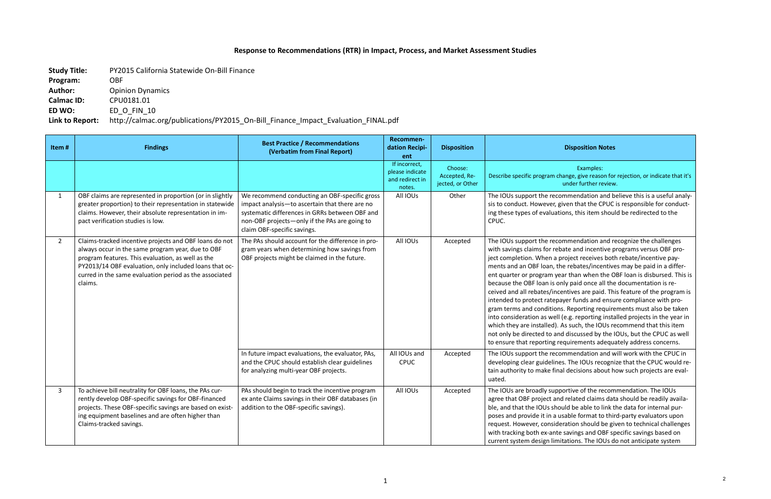## **Response to Recommendations (RTR) in Impact, Process, and Market Assessment Studies**

**Study Title:** PY2015 California Statewide On-Bill Finance

**Program:** OBF **Author:** Opinion Dynamics **Calmac ID:** CPU0181.01

**ED WO:** ED\_O\_FIN\_10

## **Link to Report:** http://calmac.org/publications/PY2015\_On-Bill\_Finance\_Impact\_Evaluation\_FINAL.pdf

#### **Disposition Disposition Notes**

Examples:

nge, give reason for rejection, or indicate that it's nder further review.

Imendation and believe this is a useful analyen that the CPUC is responsible for conductis, this item should be redirected to the

mendation and recognize the challenges te and incentive programs versus OBF propject receives both rebate/incentive payrebates/incentives may be paid in a differthan when the OBF loan is disbursed. This is paid once all the documentation is retives are paid. This feature of the program is er funds and ensure compliance with pro-Reporting requirements must also be taken .g. reporting installed projects in the year in such, the IOUs recommend that this item discussed by the IOUs, but the CPUC as well uirements adequately address concerns.

mendation and will work with the CPUC in The IOUs recognize that the CPUC would redecisions about how such projects are eval-

rtive of the recommendation. The IOUs related claims data should be readily availad be able to link the data for internal purble format to third-party evaluators upon ation should be given to technical challenges avings and OBF specific savings based on ations. The IOUs do not anticipate system

| Item#        | <b>Findings</b>                                                                                                                                                                                                                                                                                 | <b>Best Practice / Recommendations</b><br>(Verbatim from Final Report)                                                                                                                                                            | Recommen-<br>dation Recipi-<br>ent                            | <b>Disposition</b>                           |                                                                                                                                                                                                                                                                                                                                                                                                                             |
|--------------|-------------------------------------------------------------------------------------------------------------------------------------------------------------------------------------------------------------------------------------------------------------------------------------------------|-----------------------------------------------------------------------------------------------------------------------------------------------------------------------------------------------------------------------------------|---------------------------------------------------------------|----------------------------------------------|-----------------------------------------------------------------------------------------------------------------------------------------------------------------------------------------------------------------------------------------------------------------------------------------------------------------------------------------------------------------------------------------------------------------------------|
|              |                                                                                                                                                                                                                                                                                                 |                                                                                                                                                                                                                                   | If incorrect,<br>please indicate<br>and redirect in<br>notes. | Choose:<br>Accepted, Re-<br>jected, or Other | Describe specific program chan<br>ur                                                                                                                                                                                                                                                                                                                                                                                        |
| $\mathbf{1}$ | OBF claims are represented in proportion (or in slightly<br>greater proportion) to their representation in statewide<br>claims. However, their absolute representation in im-<br>pact verification studies is low.                                                                              | We recommend conducting an OBF-specific gross<br>impact analysis-to ascertain that there are no<br>systematic differences in GRRs between OBF and<br>non-OBF projects-only if the PAs are going to<br>claim OBF-specific savings. | All IOUs                                                      | Other                                        | The IOUs support the recom<br>sis to conduct. However, give<br>ing these types of evaluation<br>CPUC.                                                                                                                                                                                                                                                                                                                       |
| $2^{\circ}$  | Claims-tracked incentive projects and OBF loans do not<br>always occur in the same program year, due to OBF<br>program features. This evaluation, as well as the<br>PY2013/14 OBF evaluation, only included loans that oc-<br>curred in the same evaluation period as the associated<br>claims. | The PAs should account for the difference in pro-<br>gram years when determining how savings from<br>OBF projects might be claimed in the future.                                                                                 | All IOUs                                                      | Accepted                                     | The IOUs support the recom<br>with savings claims for rebat<br>ject completion. When a pro<br>ments and an OBF loan, the<br>ent quarter or program year<br>because the OBF loan is only<br>ceived and all rebates/incent<br>intended to protect ratepaye<br>gram terms and conditions.<br>into consideration as well (e.<br>which they are installed). As<br>not only be directed to and o<br>to ensure that reporting requ |
|              |                                                                                                                                                                                                                                                                                                 | In future impact evaluations, the evaluator, PAs,<br>and the CPUC should establish clear guidelines<br>for analyzing multi-year OBF projects.                                                                                     | All IOUs and<br><b>CPUC</b>                                   | Accepted                                     | The IOUs support the recom<br>developing clear guidelines.<br>tain authority to make final o<br>uated.                                                                                                                                                                                                                                                                                                                      |
| $\mathbf{3}$ | To achieve bill neutrality for OBF loans, the PAs cur-<br>rently develop OBF-specific savings for OBF-financed<br>projects. These OBF-specific savings are based on exist-<br>ing equipment baselines and are often higher than<br>Claims-tracked savings.                                      | PAs should begin to track the incentive program<br>ex ante Claims savings in their OBF databases (in<br>addition to the OBF-specific savings).                                                                                    | All IOUs                                                      | Accepted                                     | The IOUs are broadly suppor<br>agree that OBF project and r<br>ble, and that the IOUs should<br>poses and provide it in a usa<br>request. However, considera<br>with tracking both ex-ante sa<br>current system design limitar                                                                                                                                                                                              |